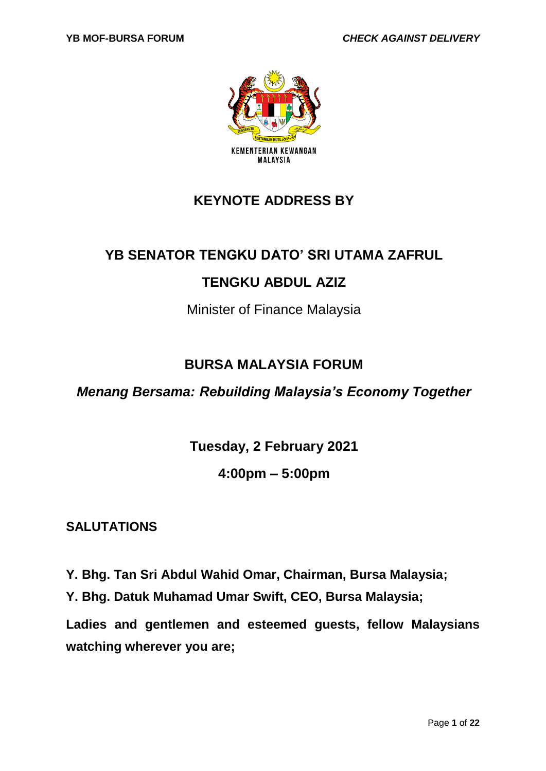

# **KEYNOTE ADDRESS BY**

# **YB SENATOR TENGKU DATO' SRI UTAMA ZAFRUL**

# **TENGKU ABDUL AZIZ**

Minister of Finance Malaysia

# **BURSA MALAYSIA FORUM**

*Menang Bersama: Rebuilding Malaysia's Economy Together*

**Tuesday, 2 February 2021**

## **4:00pm – 5:00pm**

## **SALUTATIONS**

**Y. Bhg. Tan Sri Abdul Wahid Omar, Chairman, Bursa Malaysia;**

**Y. Bhg. Datuk Muhamad Umar Swift, CEO, Bursa Malaysia;**

**Ladies and gentlemen and esteemed guests, fellow Malaysians watching wherever you are;**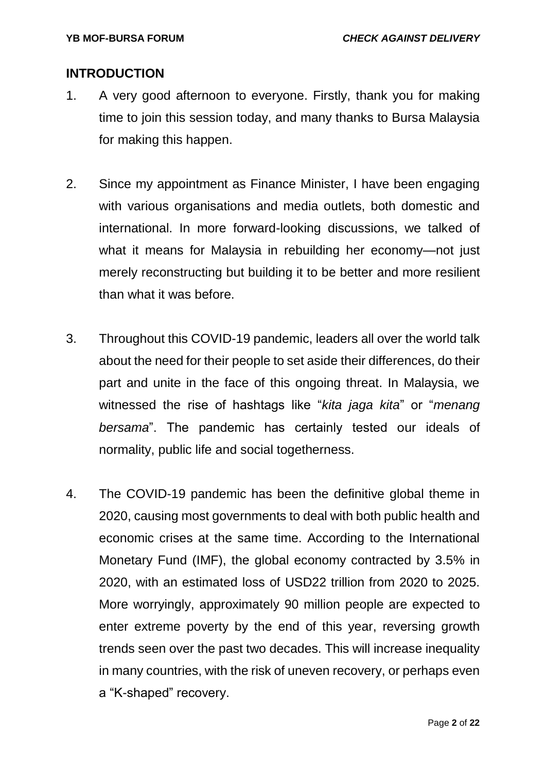#### **INTRODUCTION**

- 1. A very good afternoon to everyone. Firstly, thank you for making time to join this session today, and many thanks to Bursa Malaysia for making this happen.
- 2. Since my appointment as Finance Minister, I have been engaging with various organisations and media outlets, both domestic and international. In more forward-looking discussions, we talked of what it means for Malaysia in rebuilding her economy—not just merely reconstructing but building it to be better and more resilient than what it was before.
- 3. Throughout this COVID-19 pandemic, leaders all over the world talk about the need for their people to set aside their differences, do their part and unite in the face of this ongoing threat. In Malaysia, we witnessed the rise of hashtags like "*kita jaga kita*" or "*menang bersama*". The pandemic has certainly tested our ideals of normality, public life and social togetherness.
- 4. The COVID-19 pandemic has been the definitive global theme in 2020, causing most governments to deal with both public health and economic crises at the same time. According to the International Monetary Fund (IMF), the global economy contracted by 3.5% in 2020, with an estimated loss of USD22 trillion from 2020 to 2025. More worryingly, approximately 90 million people are expected to enter extreme poverty by the end of this year, reversing growth trends seen over the past two decades. This will increase inequality in many countries, with the risk of uneven recovery, or perhaps even a "K-shaped" recovery.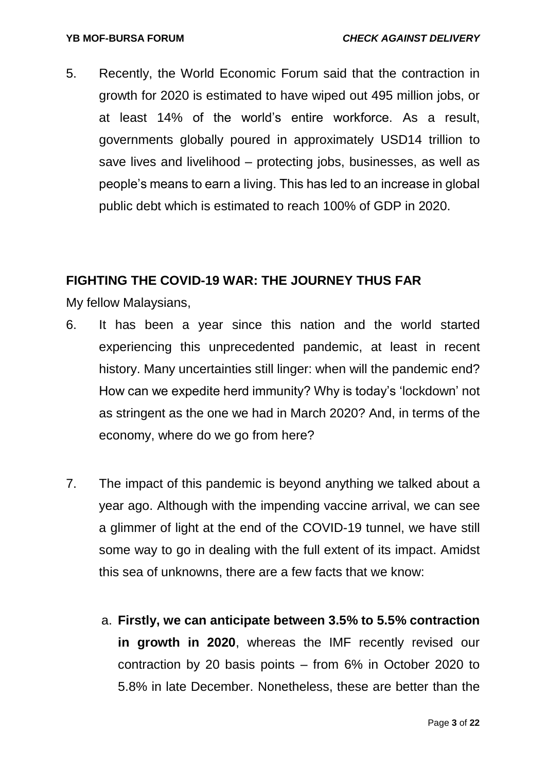5. Recently, the World Economic Forum said that the contraction in growth for 2020 is estimated to have wiped out 495 million jobs, or at least 14% of the world's entire workforce. As a result, governments globally poured in approximately USD14 trillion to save lives and livelihood – protecting jobs, businesses, as well as people's means to earn a living. This has led to an increase in global public debt which is estimated to reach 100% of GDP in 2020.

### **FIGHTING THE COVID-19 WAR: THE JOURNEY THUS FAR**

My fellow Malaysians,

- 6. It has been a year since this nation and the world started experiencing this unprecedented pandemic, at least in recent history. Many uncertainties still linger: when will the pandemic end? How can we expedite herd immunity? Why is today's 'lockdown' not as stringent as the one we had in March 2020? And, in terms of the economy, where do we go from here?
- 7. The impact of this pandemic is beyond anything we talked about a year ago. Although with the impending vaccine arrival, we can see a glimmer of light at the end of the COVID-19 tunnel, we have still some way to go in dealing with the full extent of its impact. Amidst this sea of unknowns, there are a few facts that we know:
	- a. **Firstly, we can anticipate between 3.5% to 5.5% contraction in growth in 2020**, whereas the IMF recently revised our contraction by 20 basis points – from 6% in October 2020 to 5.8% in late December. Nonetheless, these are better than the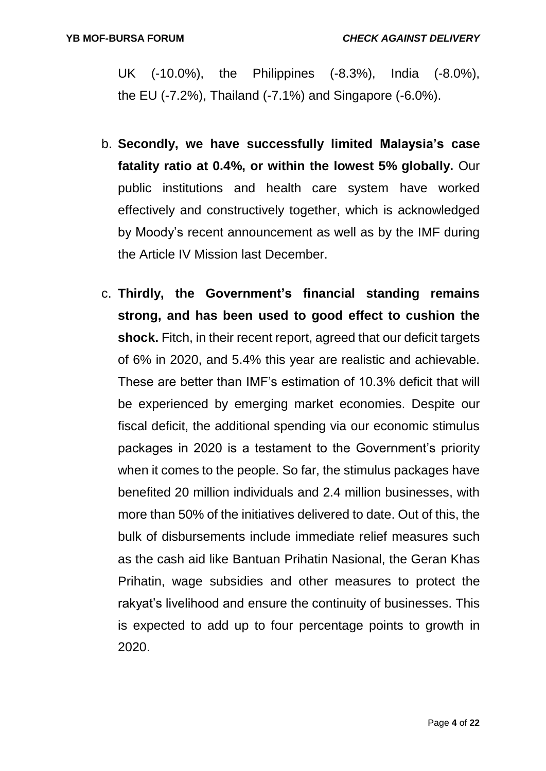UK (-10.0%), the Philippines (-8.3%), India (-8.0%), the EU (-7.2%), Thailand (-7.1%) and Singapore (-6.0%).

- b. **Secondly, we have successfully limited Malaysia's case fatality ratio at 0.4%, or within the lowest 5% globally.** Our public institutions and health care system have worked effectively and constructively together, which is acknowledged by Moody's recent announcement as well as by the IMF during the Article IV Mission last December.
- c. **Thirdly, the Government's financial standing remains strong, and has been used to good effect to cushion the shock.** Fitch, in their recent report, agreed that our deficit targets of 6% in 2020, and 5.4% this year are realistic and achievable. These are better than IMF's estimation of 10.3% deficit that will be experienced by emerging market economies. Despite our fiscal deficit, the additional spending via our economic stimulus packages in 2020 is a testament to the Government's priority when it comes to the people. So far, the stimulus packages have benefited 20 million individuals and 2.4 million businesses, with more than 50% of the initiatives delivered to date. Out of this, the bulk of disbursements include immediate relief measures such as the cash aid like Bantuan Prihatin Nasional, the Geran Khas Prihatin, wage subsidies and other measures to protect the rakyat's livelihood and ensure the continuity of businesses. This is expected to add up to four percentage points to growth in 2020.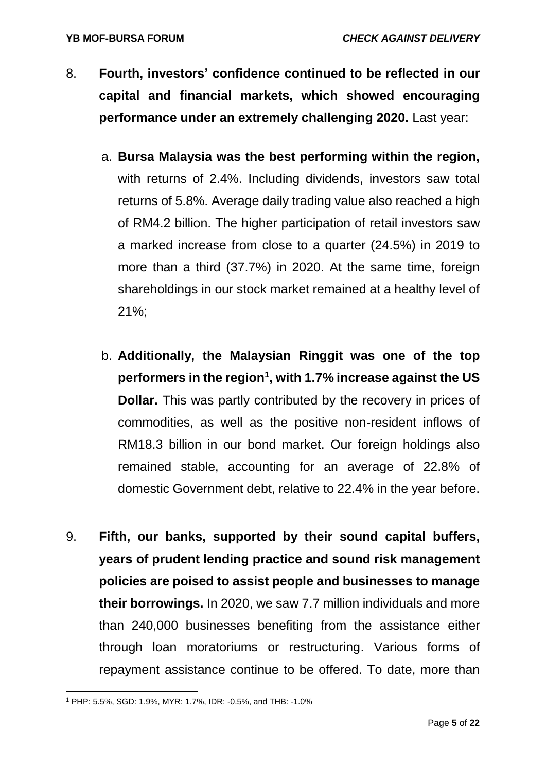- 8. **Fourth, investors' confidence continued to be reflected in our capital and financial markets, which showed encouraging performance under an extremely challenging 2020.** Last year:
	- a. **Bursa Malaysia was the best performing within the region,**  with returns of 2.4%. Including dividends, investors saw total returns of 5.8%. Average daily trading value also reached a high of RM4.2 billion. The higher participation of retail investors saw a marked increase from close to a quarter (24.5%) in 2019 to more than a third (37.7%) in 2020. At the same time, foreign shareholdings in our stock market remained at a healthy level of 21%;
	- b. **Additionally, the Malaysian Ringgit was one of the top performers in the region<sup>1</sup> , with 1.7% increase against the US Dollar.** This was partly contributed by the recovery in prices of commodities, as well as the positive non-resident inflows of RM18.3 billion in our bond market. Our foreign holdings also remained stable, accounting for an average of 22.8% of domestic Government debt, relative to 22.4% in the year before.
- 9. **Fifth, our banks, supported by their sound capital buffers, years of prudent lending practice and sound risk management policies are poised to assist people and businesses to manage their borrowings.** In 2020, we saw 7.7 million individuals and more than 240,000 businesses benefiting from the assistance either through loan moratoriums or restructuring. Various forms of repayment assistance continue to be offered. To date, more than

**<sup>.</sup>** <sup>1</sup> PHP: 5.5%, SGD: 1.9%, MYR: 1.7%, IDR: -0.5%, and THB: -1.0%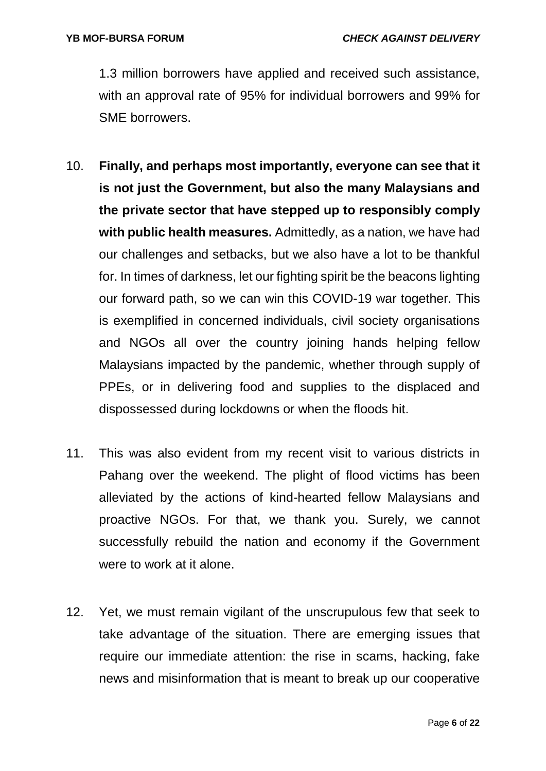1.3 million borrowers have applied and received such assistance, with an approval rate of 95% for individual borrowers and 99% for SME borrowers.

- 10. **Finally, and perhaps most importantly, everyone can see that it is not just the Government, but also the many Malaysians and the private sector that have stepped up to responsibly comply with public health measures.** Admittedly, as a nation, we have had our challenges and setbacks, but we also have a lot to be thankful for. In times of darkness, let our fighting spirit be the beacons lighting our forward path, so we can win this COVID-19 war together. This is exemplified in concerned individuals, civil society organisations and NGOs all over the country joining hands helping fellow Malaysians impacted by the pandemic, whether through supply of PPEs, or in delivering food and supplies to the displaced and dispossessed during lockdowns or when the floods hit.
- 11. This was also evident from my recent visit to various districts in Pahang over the weekend. The plight of flood victims has been alleviated by the actions of kind-hearted fellow Malaysians and proactive NGOs. For that, we thank you. Surely, we cannot successfully rebuild the nation and economy if the Government were to work at it alone.
- 12. Yet, we must remain vigilant of the unscrupulous few that seek to take advantage of the situation. There are emerging issues that require our immediate attention: the rise in scams, hacking, fake news and misinformation that is meant to break up our cooperative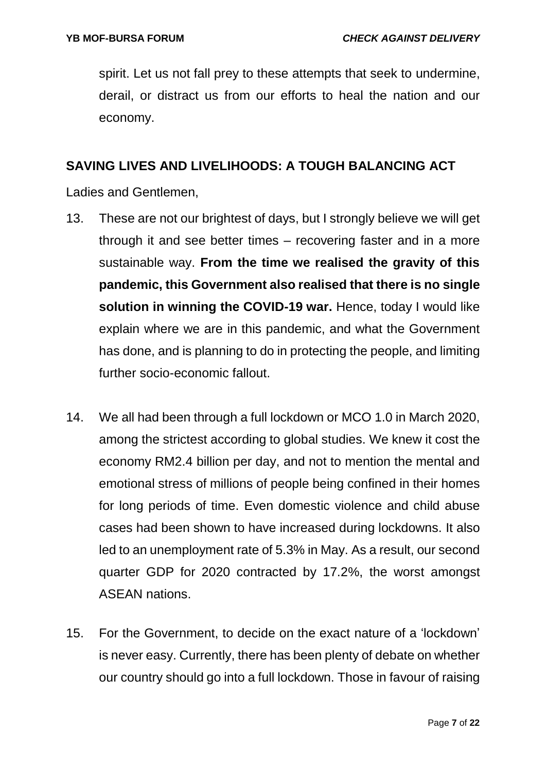spirit. Let us not fall prey to these attempts that seek to undermine, derail, or distract us from our efforts to heal the nation and our economy.

#### **SAVING LIVES AND LIVELIHOODS: A TOUGH BALANCING ACT**

Ladies and Gentlemen,

- 13. These are not our brightest of days, but I strongly believe we will get through it and see better times – recovering faster and in a more sustainable way. **From the time we realised the gravity of this pandemic, this Government also realised that there is no single solution in winning the COVID-19 war.** Hence, today I would like explain where we are in this pandemic, and what the Government has done, and is planning to do in protecting the people, and limiting further socio-economic fallout.
- 14. We all had been through a full lockdown or MCO 1.0 in March 2020, among the strictest according to global studies. We knew it cost the economy RM2.4 billion per day, and not to mention the mental and emotional stress of millions of people being confined in their homes for long periods of time. Even domestic violence and child abuse cases had been shown to have increased during lockdowns. It also led to an unemployment rate of 5.3% in May. As a result, our second quarter GDP for 2020 contracted by 17.2%, the worst amongst ASEAN nations.
- 15. For the Government, to decide on the exact nature of a 'lockdown' is never easy. Currently, there has been plenty of debate on whether our country should go into a full lockdown. Those in favour of raising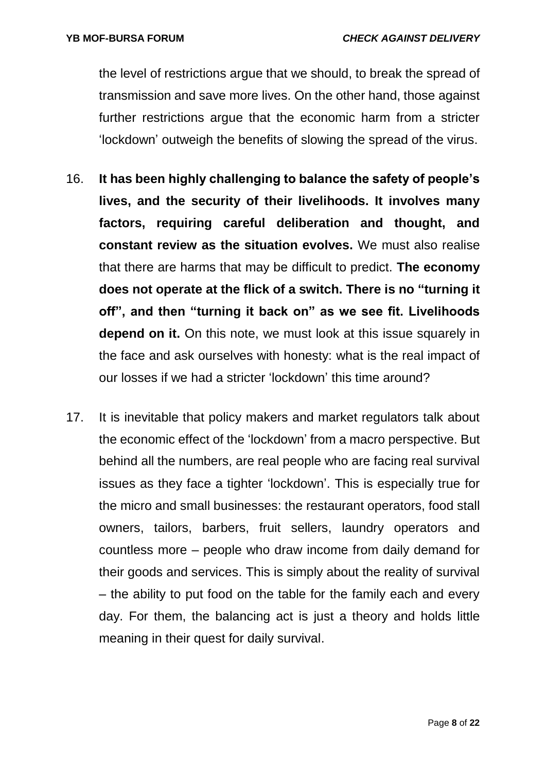the level of restrictions argue that we should, to break the spread of transmission and save more lives. On the other hand, those against further restrictions argue that the economic harm from a stricter 'lockdown' outweigh the benefits of slowing the spread of the virus.

- 16. **It has been highly challenging to balance the safety of people's lives, and the security of their livelihoods. It involves many factors, requiring careful deliberation and thought, and constant review as the situation evolves.** We must also realise that there are harms that may be difficult to predict. **The economy does not operate at the flick of a switch. There is no "turning it off", and then "turning it back on" as we see fit. Livelihoods depend on it.** On this note, we must look at this issue squarely in the face and ask ourselves with honesty: what is the real impact of our losses if we had a stricter 'lockdown' this time around?
- 17. It is inevitable that policy makers and market regulators talk about the economic effect of the 'lockdown' from a macro perspective. But behind all the numbers, are real people who are facing real survival issues as they face a tighter 'lockdown'. This is especially true for the micro and small businesses: the restaurant operators, food stall owners, tailors, barbers, fruit sellers, laundry operators and countless more – people who draw income from daily demand for their goods and services. This is simply about the reality of survival – the ability to put food on the table for the family each and every day. For them, the balancing act is just a theory and holds little meaning in their quest for daily survival.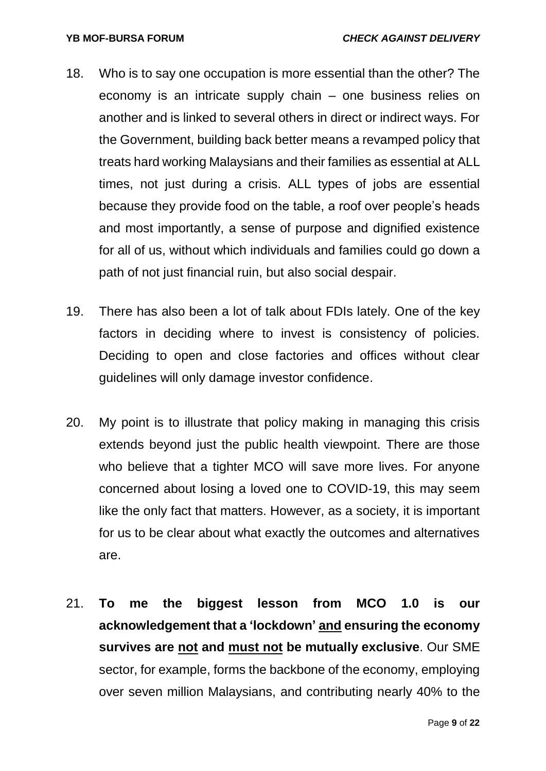- 18. Who is to say one occupation is more essential than the other? The economy is an intricate supply chain – one business relies on another and is linked to several others in direct or indirect ways. For the Government, building back better means a revamped policy that treats hard working Malaysians and their families as essential at ALL times, not just during a crisis. ALL types of jobs are essential because they provide food on the table, a roof over people's heads and most importantly, a sense of purpose and dignified existence for all of us, without which individuals and families could go down a path of not just financial ruin, but also social despair.
- 19. There has also been a lot of talk about FDIs lately. One of the key factors in deciding where to invest is consistency of policies. Deciding to open and close factories and offices without clear guidelines will only damage investor confidence.
- 20. My point is to illustrate that policy making in managing this crisis extends beyond just the public health viewpoint. There are those who believe that a tighter MCO will save more lives. For anyone concerned about losing a loved one to COVID-19, this may seem like the only fact that matters. However, as a society, it is important for us to be clear about what exactly the outcomes and alternatives are.
- 21. **To me the biggest lesson from MCO 1.0 is our acknowledgement that a 'lockdown' and ensuring the economy survives are not and must not be mutually exclusive**. Our SME sector, for example, forms the backbone of the economy, employing over seven million Malaysians, and contributing nearly 40% to the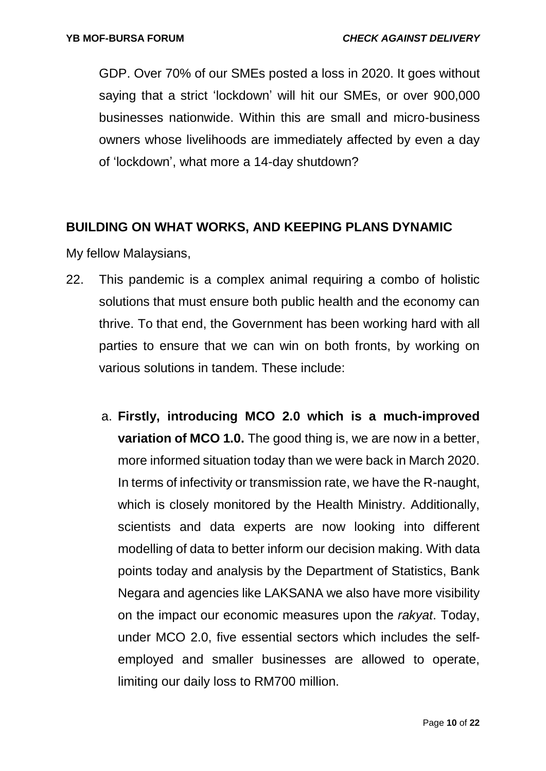GDP. Over 70% of our SMEs posted a loss in 2020. It goes without saying that a strict 'lockdown' will hit our SMEs, or over 900,000 businesses nationwide. Within this are small and micro-business owners whose livelihoods are immediately affected by even a day of 'lockdown', what more a 14-day shutdown?

#### **BUILDING ON WHAT WORKS, AND KEEPING PLANS DYNAMIC**

My fellow Malaysians,

- 22. This pandemic is a complex animal requiring a combo of holistic solutions that must ensure both public health and the economy can thrive. To that end, the Government has been working hard with all parties to ensure that we can win on both fronts, by working on various solutions in tandem. These include:
	- a. **Firstly, introducing MCO 2.0 which is a much-improved variation of MCO 1.0.** The good thing is, we are now in a better, more informed situation today than we were back in March 2020. In terms of infectivity or transmission rate, we have the R-naught, which is closely monitored by the Health Ministry. Additionally, scientists and data experts are now looking into different modelling of data to better inform our decision making. With data points today and analysis by the Department of Statistics, Bank Negara and agencies like LAKSANA we also have more visibility on the impact our economic measures upon the *rakyat*. Today, under MCO 2.0, five essential sectors which includes the selfemployed and smaller businesses are allowed to operate, limiting our daily loss to RM700 million.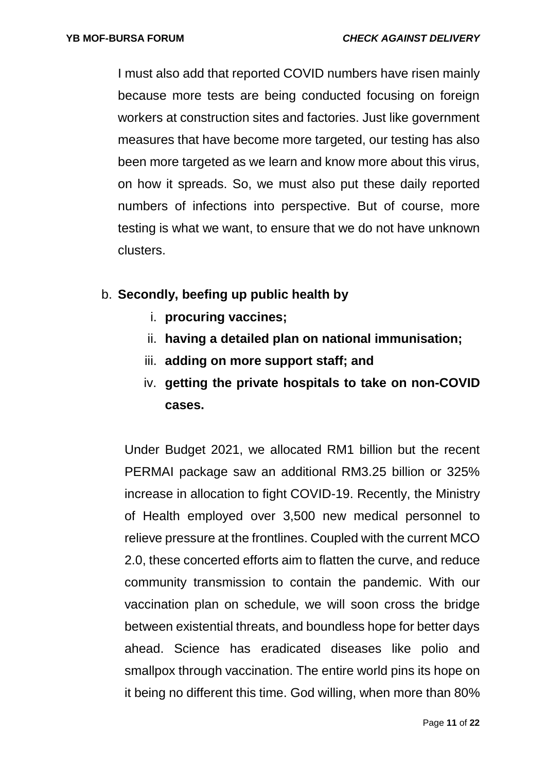I must also add that reported COVID numbers have risen mainly because more tests are being conducted focusing on foreign workers at construction sites and factories. Just like government measures that have become more targeted, our testing has also been more targeted as we learn and know more about this virus, on how it spreads. So, we must also put these daily reported numbers of infections into perspective. But of course, more testing is what we want, to ensure that we do not have unknown clusters.

- b. **Secondly, beefing up public health by** 
	- i. **procuring vaccines;**
	- ii. **having a detailed plan on national immunisation;**
	- iii. **adding on more support staff; and**
	- iv. **getting the private hospitals to take on non-COVID cases.**

Under Budget 2021, we allocated RM1 billion but the recent PERMAI package saw an additional RM3.25 billion or 325% increase in allocation to fight COVID-19. Recently, the Ministry of Health employed over 3,500 new medical personnel to relieve pressure at the frontlines. Coupled with the current MCO 2.0, these concerted efforts aim to flatten the curve, and reduce community transmission to contain the pandemic. With our vaccination plan on schedule, we will soon cross the bridge between existential threats, and boundless hope for better days ahead. Science has eradicated diseases like polio and smallpox through vaccination. The entire world pins its hope on it being no different this time. God willing, when more than 80%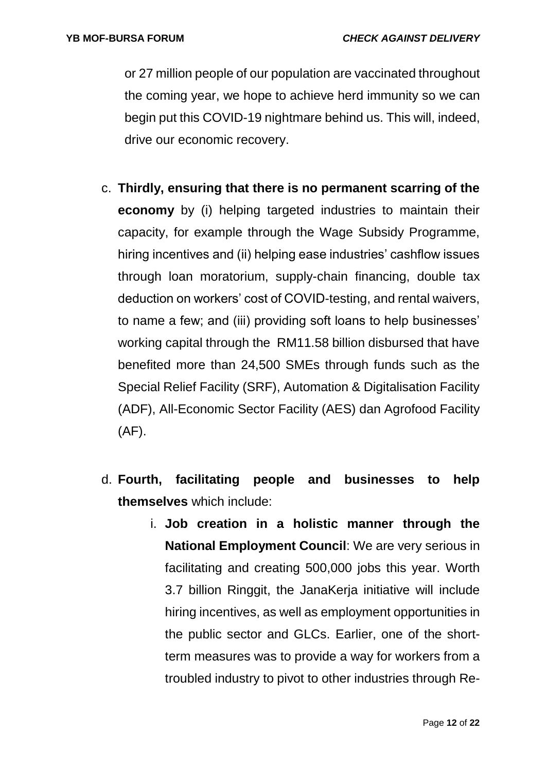or 27 million people of our population are vaccinated throughout the coming year, we hope to achieve herd immunity so we can begin put this COVID-19 nightmare behind us. This will, indeed, drive our economic recovery.

- c. **Thirdly, ensuring that there is no permanent scarring of the economy** by (i) helping targeted industries to maintain their capacity, for example through the Wage Subsidy Programme, hiring incentives and (ii) helping ease industries' cashflow issues through loan moratorium, supply-chain financing, double tax deduction on workers' cost of COVID-testing, and rental waivers, to name a few; and (iii) providing soft loans to help businesses' working capital through the RM11.58 billion disbursed that have benefited more than 24,500 SMEs through funds such as the Special Relief Facility (SRF), Automation & Digitalisation Facility (ADF), All-Economic Sector Facility (AES) dan Agrofood Facility (AF).
- d. **Fourth, facilitating people and businesses to help themselves** which include:
	- i. **Job creation in a holistic manner through the National Employment Council**: We are very serious in facilitating and creating 500,000 jobs this year. Worth 3.7 billion Ringgit, the JanaKerja initiative will include hiring incentives, as well as employment opportunities in the public sector and GLCs. Earlier, one of the shortterm measures was to provide a way for workers from a troubled industry to pivot to other industries through Re-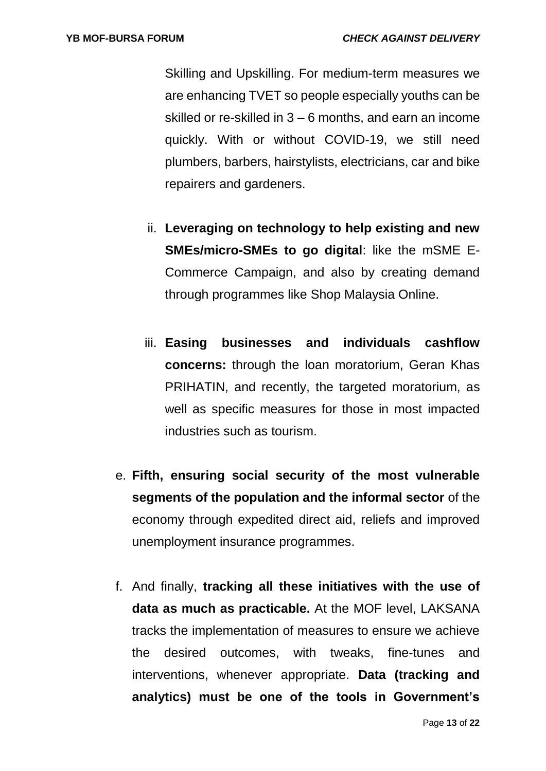Skilling and Upskilling. For medium-term measures we are enhancing TVET so people especially youths can be skilled or re-skilled in 3 – 6 months, and earn an income quickly. With or without COVID-19, we still need plumbers, barbers, hairstylists, electricians, car and bike repairers and gardeners.

- ii. **Leveraging on technology to help existing and new SMEs/micro-SMEs to go digital**: like the mSME E-Commerce Campaign, and also by creating demand through programmes like Shop Malaysia Online.
- iii. **Easing businesses and individuals cashflow concerns:** through the loan moratorium, Geran Khas PRIHATIN, and recently, the targeted moratorium, as well as specific measures for those in most impacted industries such as tourism.
- e. **Fifth, ensuring social security of the most vulnerable segments of the population and the informal sector** of the economy through expedited direct aid, reliefs and improved unemployment insurance programmes.
- f. And finally, **tracking all these initiatives with the use of data as much as practicable.** At the MOF level, LAKSANA tracks the implementation of measures to ensure we achieve the desired outcomes, with tweaks, fine-tunes and interventions, whenever appropriate. **Data (tracking and analytics) must be one of the tools in Government's**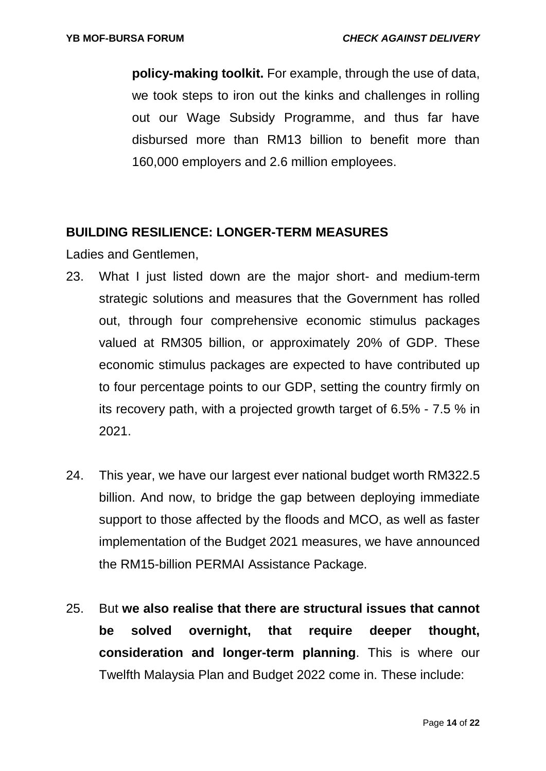**policy-making toolkit.** For example, through the use of data, we took steps to iron out the kinks and challenges in rolling out our Wage Subsidy Programme, and thus far have disbursed more than RM13 billion to benefit more than 160,000 employers and 2.6 million employees.

### **BUILDING RESILIENCE: LONGER-TERM MEASURES**

Ladies and Gentlemen,

- 23. What I just listed down are the major short- and medium-term strategic solutions and measures that the Government has rolled out, through four comprehensive economic stimulus packages valued at RM305 billion, or approximately 20% of GDP. These economic stimulus packages are expected to have contributed up to four percentage points to our GDP, setting the country firmly on its recovery path, with a projected growth target of 6.5% - 7.5 % in 2021.
- 24. This year, we have our largest ever national budget worth RM322.5 billion. And now, to bridge the gap between deploying immediate support to those affected by the floods and MCO, as well as faster implementation of the Budget 2021 measures, we have announced the RM15-billion PERMAI Assistance Package.
- 25. But **we also realise that there are structural issues that cannot be solved overnight, that require deeper thought, consideration and longer-term planning**. This is where our Twelfth Malaysia Plan and Budget 2022 come in. These include: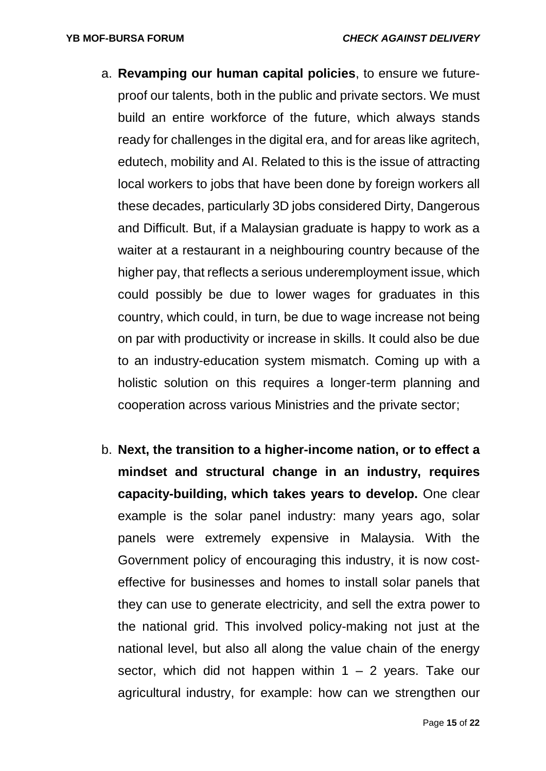- a. **Revamping our human capital policies**, to ensure we futureproof our talents, both in the public and private sectors. We must build an entire workforce of the future, which always stands ready for challenges in the digital era, and for areas like agritech, edutech, mobility and AI. Related to this is the issue of attracting local workers to jobs that have been done by foreign workers all these decades, particularly 3D jobs considered Dirty, Dangerous and Difficult. But, if a Malaysian graduate is happy to work as a waiter at a restaurant in a neighbouring country because of the higher pay, that reflects a serious underemployment issue, which could possibly be due to lower wages for graduates in this country, which could, in turn, be due to wage increase not being on par with productivity or increase in skills. It could also be due to an industry-education system mismatch. Coming up with a holistic solution on this requires a longer-term planning and cooperation across various Ministries and the private sector;
- b. **Next, the transition to a higher-income nation, or to effect a mindset and structural change in an industry, requires capacity-building, which takes years to develop.** One clear example is the solar panel industry: many years ago, solar panels were extremely expensive in Malaysia. With the Government policy of encouraging this industry, it is now costeffective for businesses and homes to install solar panels that they can use to generate electricity, and sell the extra power to the national grid. This involved policy-making not just at the national level, but also all along the value chain of the energy sector, which did not happen within  $1 - 2$  years. Take our agricultural industry, for example: how can we strengthen our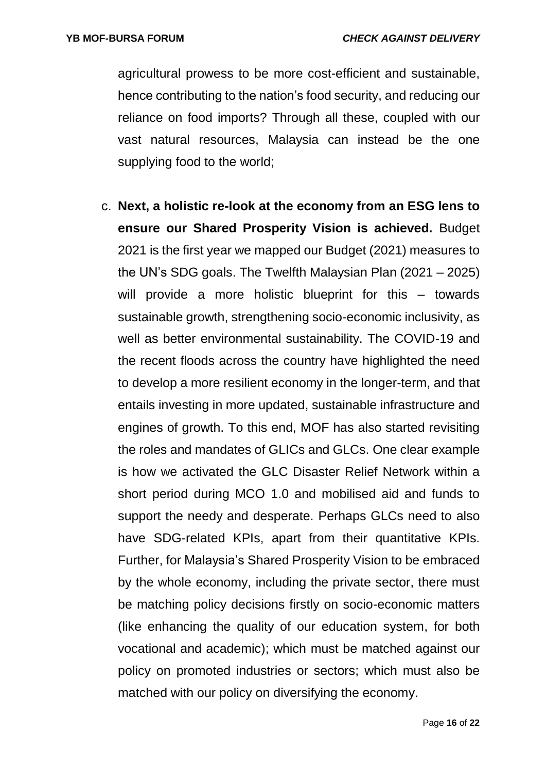agricultural prowess to be more cost-efficient and sustainable, hence contributing to the nation's food security, and reducing our reliance on food imports? Through all these, coupled with our vast natural resources, Malaysia can instead be the one supplying food to the world;

c. **Next, a holistic re-look at the economy from an ESG lens to ensure our Shared Prosperity Vision is achieved.** Budget 2021 is the first year we mapped our Budget (2021) measures to the UN's SDG goals. The Twelfth Malaysian Plan (2021 – 2025) will provide a more holistic blueprint for this – towards sustainable growth, strengthening socio-economic inclusivity, as well as better environmental sustainability. The COVID-19 and the recent floods across the country have highlighted the need to develop a more resilient economy in the longer-term, and that entails investing in more updated, sustainable infrastructure and engines of growth. To this end, MOF has also started revisiting the roles and mandates of GLICs and GLCs. One clear example is how we activated the GLC Disaster Relief Network within a short period during MCO 1.0 and mobilised aid and funds to support the needy and desperate. Perhaps GLCs need to also have SDG-related KPIs, apart from their quantitative KPIs. Further, for Malaysia's Shared Prosperity Vision to be embraced by the whole economy, including the private sector, there must be matching policy decisions firstly on socio-economic matters (like enhancing the quality of our education system, for both vocational and academic); which must be matched against our policy on promoted industries or sectors; which must also be matched with our policy on diversifying the economy.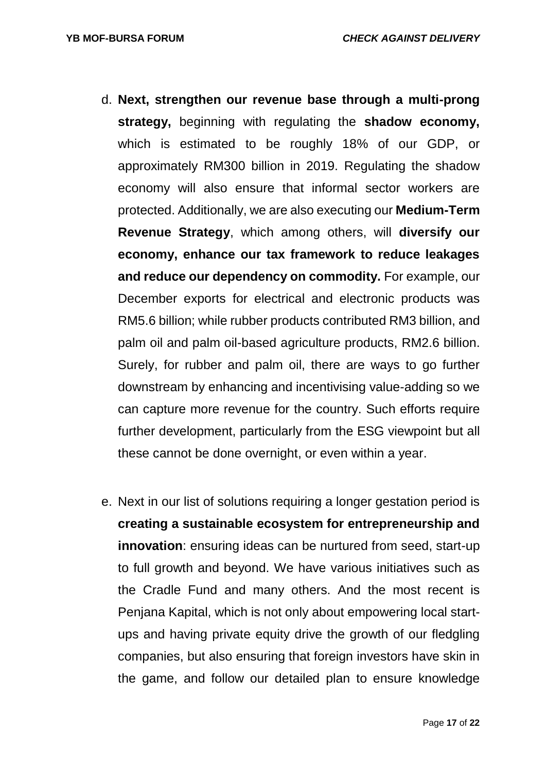- d. **Next, strengthen our revenue base through a multi-prong strategy,** beginning with regulating the **shadow economy,**  which is estimated to be roughly 18% of our GDP, or approximately RM300 billion in 2019. Regulating the shadow economy will also ensure that informal sector workers are protected. Additionally, we are also executing our **Medium-Term Revenue Strategy**, which among others, will **diversify our economy, enhance our tax framework to reduce leakages and reduce our dependency on commodity.** For example, our December exports for electrical and electronic products was RM5.6 billion; while rubber products contributed RM3 billion, and palm oil and palm oil-based agriculture products, RM2.6 billion. Surely, for rubber and palm oil, there are ways to go further downstream by enhancing and incentivising value-adding so we can capture more revenue for the country. Such efforts require further development, particularly from the ESG viewpoint but all these cannot be done overnight, or even within a year.
- e. Next in our list of solutions requiring a longer gestation period is **creating a sustainable ecosystem for entrepreneurship and innovation**: ensuring ideas can be nurtured from seed, start-up to full growth and beyond. We have various initiatives such as the Cradle Fund and many others. And the most recent is Penjana Kapital, which is not only about empowering local startups and having private equity drive the growth of our fledgling companies, but also ensuring that foreign investors have skin in the game, and follow our detailed plan to ensure knowledge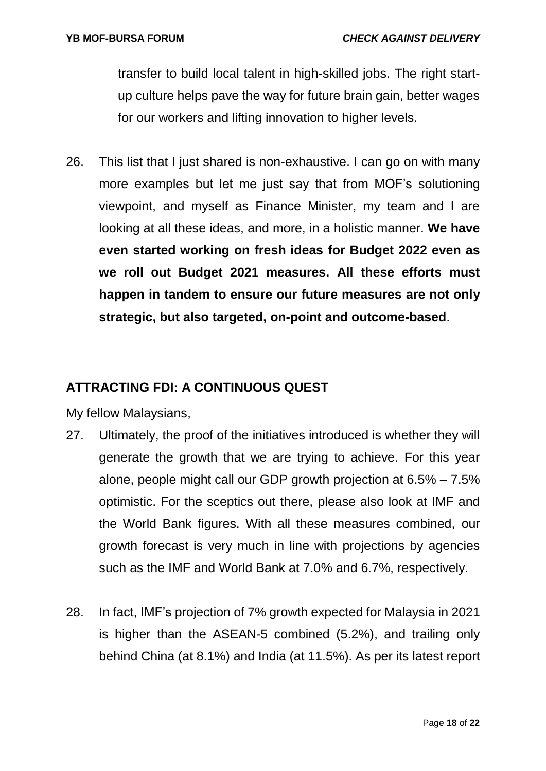transfer to build local talent in high-skilled jobs. The right startup culture helps pave the way for future brain gain, better wages for our workers and lifting innovation to higher levels.

26. This list that I just shared is non-exhaustive. I can go on with many more examples but let me just say that from MOF's solutioning viewpoint, and myself as Finance Minister, my team and I are looking at all these ideas, and more, in a holistic manner. **We have even started working on fresh ideas for Budget 2022 even as we roll out Budget 2021 measures. All these efforts must happen in tandem to ensure our future measures are not only strategic, but also targeted, on-point and outcome-based**.

## **ATTRACTING FDI: A CONTINUOUS QUEST**

My fellow Malaysians,

- 27. Ultimately, the proof of the initiatives introduced is whether they will generate the growth that we are trying to achieve. For this year alone, people might call our GDP growth projection at 6.5% – 7.5% optimistic. For the sceptics out there, please also look at IMF and the World Bank figures. With all these measures combined, our growth forecast is very much in line with projections by agencies such as the IMF and World Bank at 7.0% and 6.7%, respectively.
- 28. In fact, IMF's projection of 7% growth expected for Malaysia in 2021 is higher than the ASEAN-5 combined (5.2%), and trailing only behind China (at 8.1%) and India (at 11.5%). As per its latest report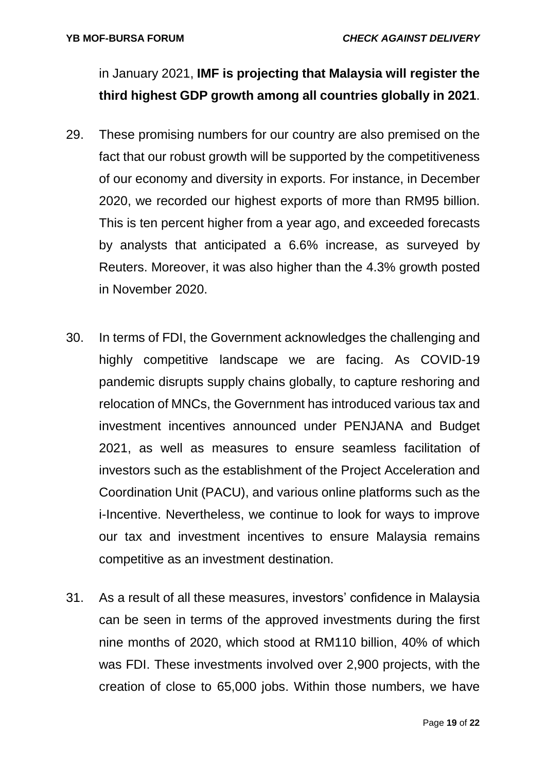in January 2021, **IMF is projecting that Malaysia will register the third highest GDP growth among all countries globally in 2021**.

- 29. These promising numbers for our country are also premised on the fact that our robust growth will be supported by the competitiveness of our economy and diversity in exports. For instance, in December 2020, we recorded our highest exports of more than RM95 billion. This is ten percent higher from a year ago, and exceeded forecasts by analysts that anticipated a 6.6% increase, as surveyed by Reuters. Moreover, it was also higher than the 4.3% growth posted in November 2020.
- 30. In terms of FDI, the Government acknowledges the challenging and highly competitive landscape we are facing. As COVID-19 pandemic disrupts supply chains globally, to capture reshoring and relocation of MNCs, the Government has introduced various tax and investment incentives announced under PENJANA and Budget 2021, as well as measures to ensure seamless facilitation of investors such as the establishment of the Project Acceleration and Coordination Unit (PACU), and various online platforms such as the i-Incentive. Nevertheless, we continue to look for ways to improve our tax and investment incentives to ensure Malaysia remains competitive as an investment destination.
- 31. As a result of all these measures, investors' confidence in Malaysia can be seen in terms of the approved investments during the first nine months of 2020, which stood at RM110 billion, 40% of which was FDI. These investments involved over 2,900 projects, with the creation of close to 65,000 jobs. Within those numbers, we have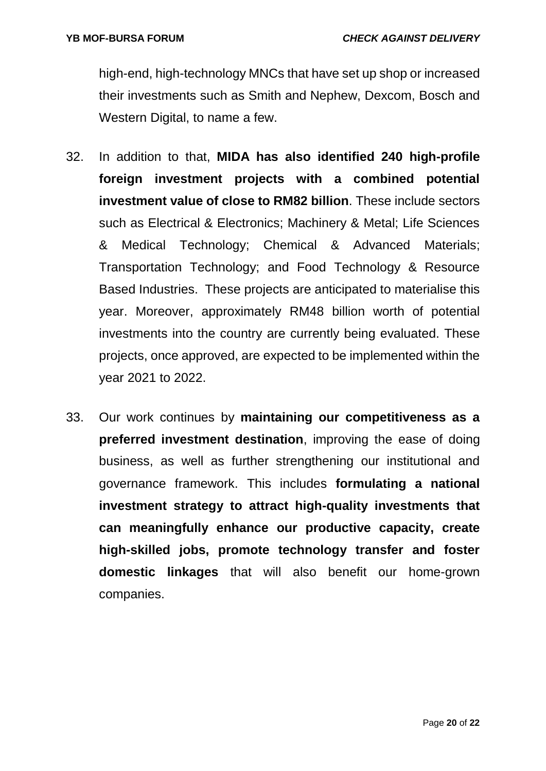high-end, high-technology MNCs that have set up shop or increased their investments such as Smith and Nephew, Dexcom, Bosch and Western Digital, to name a few.

- 32. In addition to that, **MIDA has also identified 240 high-profile foreign investment projects with a combined potential investment value of close to RM82 billion**. These include sectors such as Electrical & Electronics; Machinery & Metal; Life Sciences & Medical Technology; Chemical & Advanced Materials; Transportation Technology; and Food Technology & Resource Based Industries. These projects are anticipated to materialise this year. Moreover, approximately RM48 billion worth of potential investments into the country are currently being evaluated. These projects, once approved, are expected to be implemented within the year 2021 to 2022.
- 33. Our work continues by **maintaining our competitiveness as a preferred investment destination**, improving the ease of doing business, as well as further strengthening our institutional and governance framework. This includes **formulating a national investment strategy to attract high-quality investments that can meaningfully enhance our productive capacity, create high-skilled jobs, promote technology transfer and foster domestic linkages** that will also benefit our home-grown companies.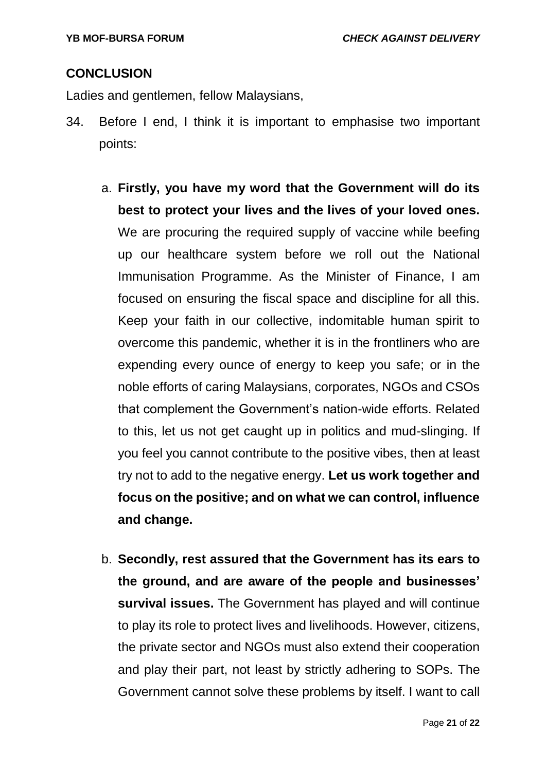### **CONCLUSION**

Ladies and gentlemen, fellow Malaysians,

- 34. Before I end, I think it is important to emphasise two important points:
	- a. **Firstly, you have my word that the Government will do its best to protect your lives and the lives of your loved ones.** We are procuring the required supply of vaccine while beefing up our healthcare system before we roll out the National Immunisation Programme. As the Minister of Finance, I am focused on ensuring the fiscal space and discipline for all this. Keep your faith in our collective, indomitable human spirit to overcome this pandemic, whether it is in the frontliners who are expending every ounce of energy to keep you safe; or in the noble efforts of caring Malaysians, corporates, NGOs and CSOs that complement the Government's nation-wide efforts. Related to this, let us not get caught up in politics and mud-slinging. If you feel you cannot contribute to the positive vibes, then at least try not to add to the negative energy. **Let us work together and focus on the positive; and on what we can control, influence and change.**
	- b. **Secondly, rest assured that the Government has its ears to the ground, and are aware of the people and businesses' survival issues.** The Government has played and will continue to play its role to protect lives and livelihoods. However, citizens, the private sector and NGOs must also extend their cooperation and play their part, not least by strictly adhering to SOPs. The Government cannot solve these problems by itself. I want to call